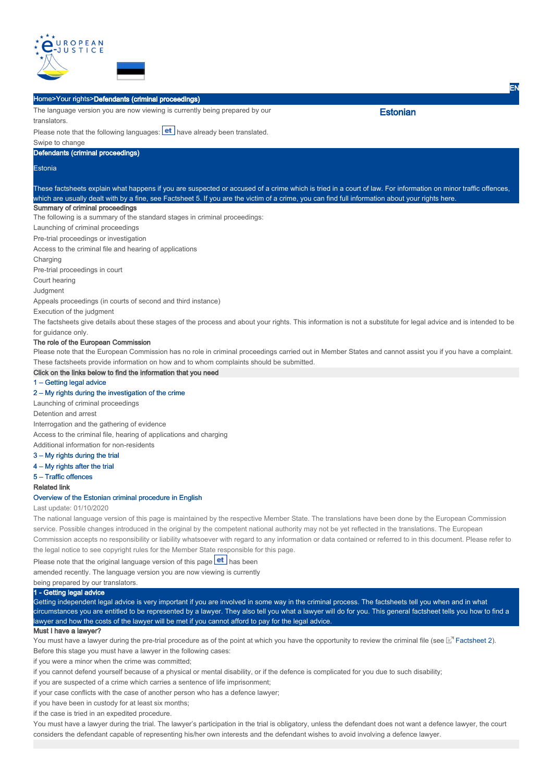

|                                                                                                                                                                  |                                                                                         | EN                                                                                                                                                            |
|------------------------------------------------------------------------------------------------------------------------------------------------------------------|-----------------------------------------------------------------------------------------|---------------------------------------------------------------------------------------------------------------------------------------------------------------|
| Home>Your rights>Defendants (criminal proceedings)                                                                                                               |                                                                                         |                                                                                                                                                               |
| The language version you are now viewing is currently being prepared by our                                                                                      |                                                                                         | <b>Estonian</b>                                                                                                                                               |
| translators.                                                                                                                                                     |                                                                                         |                                                                                                                                                               |
| Please note that the following languages: <b>et</b> have already been translated.                                                                                |                                                                                         |                                                                                                                                                               |
| Swipe to change                                                                                                                                                  |                                                                                         |                                                                                                                                                               |
| Defendants (criminal proceedings)                                                                                                                                |                                                                                         |                                                                                                                                                               |
| Estonia                                                                                                                                                          |                                                                                         |                                                                                                                                                               |
|                                                                                                                                                                  |                                                                                         | These factsheets explain what happens if you are suspected or accused of a crime which is tried in a court of law. For information on minor traffic offences, |
|                                                                                                                                                                  |                                                                                         | which are usually dealt with by a fine, see Factsheet 5. If you are the victim of a crime, you can find full information about your rights here.              |
| Summary of criminal proceedings                                                                                                                                  |                                                                                         |                                                                                                                                                               |
| The following is a summary of the standard stages in criminal proceedings:                                                                                       |                                                                                         |                                                                                                                                                               |
| Launching of criminal proceedings                                                                                                                                |                                                                                         |                                                                                                                                                               |
| Pre-trial proceedings or investigation                                                                                                                           |                                                                                         |                                                                                                                                                               |
| Access to the criminal file and hearing of applications                                                                                                          |                                                                                         |                                                                                                                                                               |
| Charging                                                                                                                                                         |                                                                                         |                                                                                                                                                               |
| Pre-trial proceedings in court                                                                                                                                   |                                                                                         |                                                                                                                                                               |
| Court hearing                                                                                                                                                    |                                                                                         |                                                                                                                                                               |
| Judgment                                                                                                                                                         |                                                                                         |                                                                                                                                                               |
| Appeals proceedings (in courts of second and third instance)                                                                                                     |                                                                                         |                                                                                                                                                               |
| Execution of the judgment                                                                                                                                        |                                                                                         |                                                                                                                                                               |
| The factsheets give details about these stages of the process and about your rights. This information is not a substitute for legal advice and is intended to be |                                                                                         |                                                                                                                                                               |
| for guidance only.                                                                                                                                               |                                                                                         |                                                                                                                                                               |
| The role of the European Commission                                                                                                                              |                                                                                         |                                                                                                                                                               |
| Please note that the European Commission has no role in criminal proceedings carried out in Member States and cannot assist you if you have a complaint.         |                                                                                         |                                                                                                                                                               |
|                                                                                                                                                                  | These factsheets provide information on how and to whom complaints should be submitted. |                                                                                                                                                               |
| Click on the links below to find the information that you need                                                                                                   |                                                                                         |                                                                                                                                                               |
| 1 - Getting legal advice                                                                                                                                         |                                                                                         |                                                                                                                                                               |
| 2 - My rights during the investigation of the crime                                                                                                              |                                                                                         |                                                                                                                                                               |
| Launching of criminal proceedings                                                                                                                                |                                                                                         |                                                                                                                                                               |
| Detention and arrest                                                                                                                                             |                                                                                         |                                                                                                                                                               |
| Interrogation and the gathering of evidence                                                                                                                      |                                                                                         |                                                                                                                                                               |
| Access to the criminal file, hearing of applications and charging                                                                                                |                                                                                         |                                                                                                                                                               |
| Additional information for non-residents                                                                                                                         |                                                                                         |                                                                                                                                                               |
| 3 – My rights during the trial                                                                                                                                   |                                                                                         |                                                                                                                                                               |
| $4 - My$ rights after the trial                                                                                                                                  |                                                                                         |                                                                                                                                                               |
| 5 - Traffic offences                                                                                                                                             |                                                                                         |                                                                                                                                                               |
| <b>Related link</b>                                                                                                                                              |                                                                                         |                                                                                                                                                               |
| Overview of the Estonian criminal procedure in English                                                                                                           |                                                                                         |                                                                                                                                                               |

# Last update: 01/10/2020

The national language version of this page is maintained by the respective Member State. The translations have been done by the European Commission service. Possible changes introduced in the original by the competent national authority may not be yet reflected in the translations. The European Commission accepts no responsibility or liability whatsoever with regard to any information or data contained or referred to in this document. Please refer to the legal notice to see copyright rules for the Member State responsible for this page.

Please note that the original language version of this page  $\text{et}$  has been

amended recently. The language version you are now viewing is currently

being prepared by our translators.

# 1 - Getting legal advice

Getting independent legal advice is very important if you are involved in some way in the criminal process. The factsheets tell you when and in what circumstances you are entitled to be represented by a lawyer. They also tell you what a lawyer will do for you. This general factsheet tells you how to find a lawyer and how the costs of the lawyer will be met if you cannot afford to pay for the legal advice.

# Must I have a lawyer?

You must have a lawyer during the pre-trial procedure as of the point at which you have the opportunity to review the criminal file (see  $\mathbb{E}^n$  Factsheet 2). Before this stage you must have a lawyer in the following cases:

if you were a minor when the crime was committed;

if you cannot defend yourself because of a physical or mental disability, or if the defence is complicated for you due to such disability;

if you are suspected of a crime which carries a sentence of life imprisonment;

if your case conflicts with the case of another person who has a defence lawyer;

if you have been in custody for at least six months;

if the case is tried in an expedited procedure.

You must have a lawyer during the trial. The lawyer's participation in the trial is obligatory, unless the defendant does not want a defence lawyer, the court considers the defendant capable of representing his/her own interests and the defendant wishes to avoid involving a defence lawyer.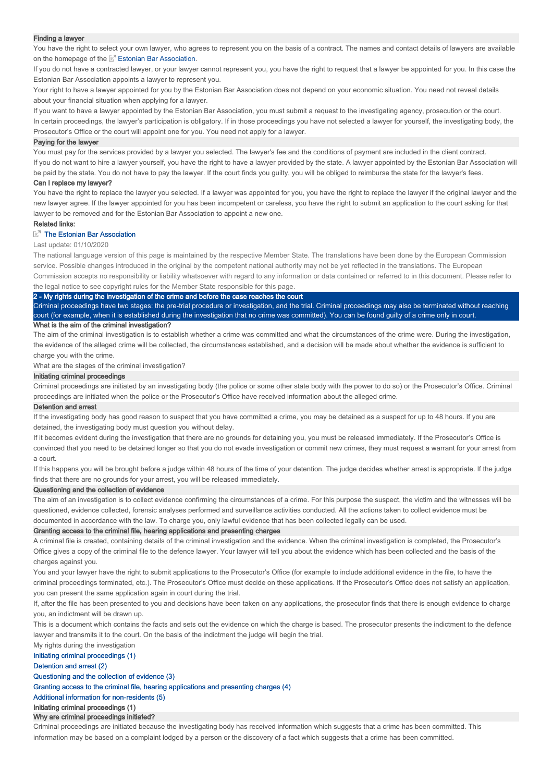#### Finding a lawyer

You have the right to select your own lawyer, who agrees to represent you on the basis of a contract. The names and contact details of lawyers are available on the homepage of the **E'** Estonian Bar Association.

If you do not have a contracted lawyer, or your lawyer cannot represent you, you have the right to request that a lawyer be appointed for you. In this case the Estonian Bar Association appoints a lawyer to represent you.

Your right to have a lawyer appointed for you by the Estonian Bar Association does not depend on your economic situation. You need not reveal details about your financial situation when applying for a lawyer.

If you want to have a lawyer appointed by the Estonian Bar Association, you must submit a request to the investigating agency, prosecution or the court. In certain proceedings, the lawyer's participation is obligatory. If in those proceedings you have not selected a lawyer for yourself, the investigating body, the Prosecutor's Office or the court will appoint one for you. You need not apply for a lawyer.

#### Paying for the lawyer

You must pay for the services provided by a lawyer you selected. The lawyer's fee and the conditions of payment are included in the client contract. If you do not want to hire a lawyer yourself, you have the right to have a lawyer provided by the state. A lawyer appointed by the Estonian Bar Association will be paid by the state. You do not have to pay the lawyer. If the court finds you guilty, you will be obliged to reimburse the state for the lawyer's fees.

#### Can I replace my lawyer?

You have the right to replace the lawyer you selected. If a lawyer was appointed for you, you have the right to replace the lawyer if the original lawyer and the new lawyer agree. If the lawyer appointed for you has been incompetent or careless, you have the right to submit an application to the court asking for that lawyer to be removed and for the Estonian Bar Association to appoint a new one.

#### Related links:

### **The Estonian Bar Association**

Last update: 01/10/2020

The national language version of this page is maintained by the respective Member State. The translations have been done by the European Commission service. Possible changes introduced in the original by the competent national authority may not be yet reflected in the translations. The European Commission accepts no responsibility or liability whatsoever with regard to any information or data contained or referred to in this document. Please refer to the legal notice to see copyright rules for the Member State responsible for this page.

#### y rights during the investigation of the crime and before the case reaches the court

Criminal proceedings have two stages: the pre-trial procedure or investigation, and the trial. Criminal proceedings may also be terminated without reaching court (for example, when it is established during the investigation that no crime was committed). You can be found guilty of a crime only in court. What is the aim of the criminal investigation?

The aim of the criminal investigation is to establish whether a crime was committed and what the circumstances of the crime were. During the investigation, the evidence of the alleged crime will be collected, the circumstances established, and a decision will be made about whether the evidence is sufficient to charge you with the crime.

What are the stages of the criminal investigation?

### Initiating criminal proceedings

Criminal proceedings are initiated by an investigating body (the police or some other state body with the power to do so) or the Prosecutor's Office. Criminal proceedings are initiated when the police or the Prosecutor's Office have received information about the alleged crime.

#### Detention and arrest

If the investigating body has good reason to suspect that you have committed a crime, you may be detained as a suspect for up to 48 hours. If you are detained, the investigating body must question you without delay.

If it becomes evident during the investigation that there are no grounds for detaining you, you must be released immediately. If the Prosecutor's Office is convinced that you need to be detained longer so that you do not evade investigation or commit new crimes, they must request a warrant for your arrest from a court.

If this happens you will be brought before a judge within 48 hours of the time of your detention. The judge decides whether arrest is appropriate. If the judge finds that there are no grounds for your arrest, you will be released immediately.

### Questioning and the collection of evidence

The aim of an investigation is to collect evidence confirming the circumstances of a crime. For this purpose the suspect, the victim and the witnesses will be questioned, evidence collected, forensic analyses performed and surveillance activities conducted. All the actions taken to collect evidence must be documented in accordance with the law. To charge you, only lawful evidence that has been collected legally can be used.

#### Granting access to the criminal file, hearing applications and presenting charges

A criminal file is created, containing details of the criminal investigation and the evidence. When the criminal investigation is completed, the Prosecutor's Office gives a copy of the criminal file to the defence lawyer. Your lawyer will tell you about the evidence which has been collected and the basis of the charges against you.

You and your lawyer have the right to submit applications to the Prosecutor's Office (for example to include additional evidence in the file, to have the criminal proceedings terminated, etc.). The Prosecutor's Office must decide on these applications. If the Prosecutor's Office does not satisfy an application, you can present the same application again in court during the trial.

If, after the file has been presented to you and decisions have been taken on any applications, the prosecutor finds that there is enough evidence to charge you, an indictment will be drawn up.

This is a document which contains the facts and sets out the evidence on which the charge is based. The prosecutor presents the indictment to the defence lawyer and transmits it to the court. On the basis of the indictment the judge will begin the trial.

My rights during the investigation

# Initiating criminal proceedings (1)

### Detention and arrest (2)

# Questioning and the collection of evidence (3)

Granting access to the criminal file, hearing applications and presenting charges (4)

Additional information for non-residents (5)

# Initiating criminal proceedings (1)

# Why are criminal proceedings initiated?

Criminal proceedings are initiated because the investigating body has received information which suggests that a crime has been committed. This information may be based on a complaint lodged by a person or the discovery of a fact which suggests that a crime has been committed.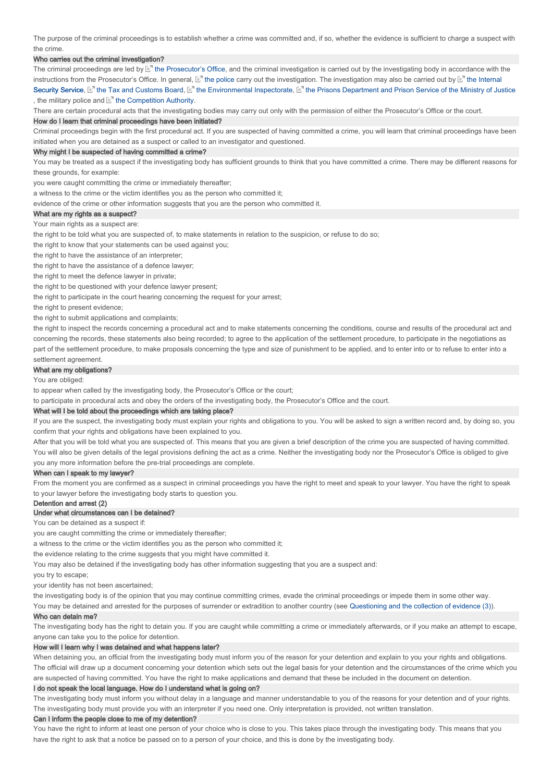The purpose of the criminal proceedings is to establish whether a crime was committed and, if so, whether the evidence is sufficient to charge a suspect with the crime.

### Who carries out the criminal investigation?

The criminal proceedings are led by  $\mathbb{E}^n$  the Prosecutor's Office, and the criminal investigation is carried out by the investigating body in accordance with the instructions from the Prosecutor's Office. In general, Let the police carry out the investigation. The investigation may also be carried out by Let the Internal Security Service, [Let] the Tax and Customs Board, [Let] the Environmental Inspectorate, [Let] the Prisons Department and Prison Service of the Ministry of Justice , the military police and  $E$  the Competition Authority.

There are certain procedural acts that the investigating bodies may carry out only with the permission of either the Prosecutor's Office or the court.

#### How do I learn that criminal proceedings have been initiated?

Criminal proceedings begin with the first procedural act. If you are suspected of having committed a crime, you will learn that criminal proceedings have been initiated when you are detained as a suspect or called to an investigator and questioned.

### Why might I be suspected of having committed a crime?

You may be treated as a suspect if the investigating body has sufficient grounds to think that you have committed a crime. There may be different reasons for these grounds, for example:

you were caught committing the crime or immediately thereafter;

a witness to the crime or the victim identifies you as the person who committed it;

evidence of the crime or other information suggests that you are the person who committed it.

# What are my rights as a suspect?

Your main rights as a suspect are:

the right to be told what you are suspected of, to make statements in relation to the suspicion, or refuse to do so;

the right to know that your statements can be used against you;

the right to have the assistance of an interpreter;

the right to have the assistance of a defence lawyer;

the right to meet the defence lawyer in private;

the right to be questioned with your defence lawyer present;

the right to participate in the court hearing concerning the request for your arrest;

the right to present evidence:

the right to submit applications and complaints;

the right to inspect the records concerning a procedural act and to make statements concerning the conditions, course and results of the procedural act and concerning the records, these statements also being recorded; to agree to the application of the settlement procedure, to participate in the negotiations as part of the settlement procedure, to make proposals concerning the type and size of punishment to be applied, and to enter into or to refuse to enter into a settlement agreement.

# What are my obligations?

You are obliged:

to appear when called by the investigating body, the Prosecutor's Office or the court;

to participate in procedural acts and obey the orders of the investigating body, the Prosecutor's Office and the court.

#### What will I be told about the proceedings which are taking place?

If you are the suspect, the investigating body must explain your rights and obligations to you. You will be asked to sign a written record and, by doing so, you confirm that your rights and obligations have been explained to you.

After that you will be told what you are suspected of. This means that you are given a brief description of the crime you are suspected of having committed. You will also be given details of the legal provisions defining the act as a crime. Neither the investigating body nor the Prosecutor's Office is obliged to give you any more information before the pre-trial proceedings are complete.

# When can I speak to my lawyer?

From the moment you are confirmed as a suspect in criminal proceedings you have the right to meet and speak to your lawyer. You have the right to speak to your lawyer before the investigating body starts to question you.

# Detention and arrest (2)

# Under what circumstances can I be detained?

You can be detained as a suspect if:

you are caught committing the crime or immediately thereafter;

a witness to the crime or the victim identifies you as the person who committed it;

the evidence relating to the crime suggests that you might have committed it.

You may also be detained if the investigating body has other information suggesting that you are a suspect and:

you try to escape;

your identity has not been ascertained;

the investigating body is of the opinion that you may continue committing crimes, evade the criminal proceedings or impede them in some other way.

You may be detained and arrested for the purposes of surrender or extradition to another country (see Questioning and the collection of evidence (3)).

#### Who can detain me?

The investigating body has the right to detain you. If you are caught while committing a crime or immediately afterwards, or if you make an attempt to escape, anyone can take you to the police for detention.

# How will I learn why I was detained and what happens later?

When detaining you, an official from the investigating body must inform you of the reason for your detention and explain to you your rights and obligations. The official will draw up a document concerning your detention which sets out the legal basis for your detention and the circumstances of the crime which you are suspected of having committed. You have the right to make applications and demand that these be included in the document on detention.

#### I do not speak the local language. How do I understand what is going on?

The investigating body must inform you without delay in a language and manner understandable to you of the reasons for your detention and of your rights The investigating body must provide you with an interpreter if you need one. Only interpretation is provided, not written translation.

#### Can I inform the people close to me of my detention?

You have the right to inform at least one person of your choice who is close to you. This takes place through the investigating body. This means that you have the right to ask that a notice be passed on to a person of your choice, and this is done by the investigating body.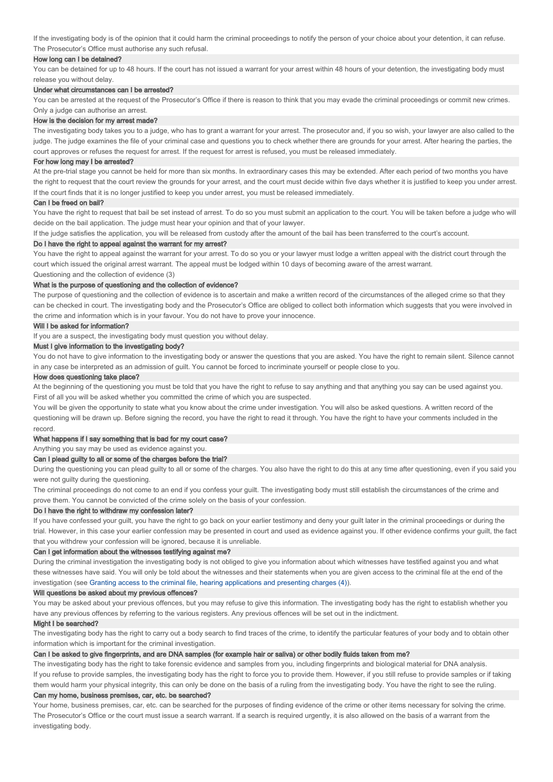If the investigating body is of the opinion that it could harm the criminal proceedings to notify the person of your choice about your detention, it can refuse. The Prosecutor's Office must authorise any such refusal.

### How long can I be detained?

You can be detained for up to 48 hours. If the court has not issued a warrant for your arrest within 48 hours of your detention, the investigating body must release you without delay.

# Under what circumstances can I be arrested?

You can be arrested at the request of the Prosecutor's Office if there is reason to think that you may evade the criminal proceedings or commit new crimes. Only a judge can authorise an arrest.

#### How is the decision for my arrest made?

The investigating body takes you to a judge, who has to grant a warrant for your arrest. The prosecutor and, if you so wish, your lawyer are also called to the judge. The judge examines the file of your criminal case and questions you to check whether there are grounds for your arrest. After hearing the parties, the court approves or refuses the request for arrest. If the request for arrest is refused, you must be released immediately.

#### For how long may I be arrested?

At the pre-trial stage you cannot be held for more than six months. In extraordinary cases this may be extended. After each period of two months you have the right to request that the court review the grounds for your arrest, and the court must decide within five days whether it is justified to keep you under arrest. If the court finds that it is no longer justified to keep you under arrest, you must be released immediately.

#### Can I be freed on bail?

You have the right to request that bail be set instead of arrest. To do so you must submit an application to the court. You will be taken before a judge who will decide on the bail application. The judge must hear your opinion and that of your lawyer.

If the judge satisfies the application, you will be released from custody after the amount of the bail has been transferred to the court's account.

### Do I have the right to appeal against the warrant for my arrest?

You have the right to appeal against the warrant for your arrest. To do so you or your lawyer must lodge a written appeal with the district court through the court which issued the original arrest warrant. The appeal must be lodged within 10 days of becoming aware of the arrest warrant.

Questioning and the collection of evidence (3)

# What is the purpose of questioning and the collection of evidence?

The purpose of questioning and the collection of evidence is to ascertain and make a written record of the circumstances of the alleged crime so that they can be checked in court. The investigating body and the Prosecutor's Office are obliged to collect both information which suggests that you were involved in the crime and information which is in your favour. You do not have to prove your innocence.

#### Will I be asked for information?

If you are a suspect, the investigating body must question you without delay.

# Must I give information to the investigating body?

You do not have to give information to the investigating body or answer the questions that you are asked. You have the right to remain silent. Silence cannot in any case be interpreted as an admission of guilt. You cannot be forced to incriminate yourself or people close to you.

#### How does questioning take place?

At the beginning of the questioning you must be told that you have the right to refuse to say anything and that anything you say can be used against you. First of all you will be asked whether you committed the crime of which you are suspected.

You will be given the opportunity to state what you know about the crime under investigation. You will also be asked questions. A written record of the questioning will be drawn up. Before signing the record, you have the right to read it through. You have the right to have your comments included in the record.

## What happens if I say something that is bad for my court case?

Anything you say may be used as evidence against you.

## Can I plead guilty to all or some of the charges before the trial?

During the questioning you can plead guilty to all or some of the charges. You also have the right to do this at any time after questioning, even if you said you were not guilty during the questioning.

The criminal proceedings do not come to an end if you confess your guilt. The investigating body must still establish the circumstances of the crime and prove them. You cannot be convicted of the crime solely on the basis of your confession.

### Do I have the right to withdraw my confession later?

If you have confessed your guilt, you have the right to go back on your earlier testimony and deny your guilt later in the criminal proceedings or during the trial. However, in this case your earlier confession may be presented in court and used as evidence against you. If other evidence confirms your guilt, the fact that you withdrew your confession will be ignored, because it is unreliable.

# Can I get information about the witnesses testifying against me?

During the criminal investigation the investigating body is not obliged to give you information about which witnesses have testified against you and what these witnesses have said. You will only be told about the witnesses and their statements when you are given access to the criminal file at the end of the investigation (see Granting access to the criminal file, hearing applications and presenting charges (4)).

### Will questions be asked about my previous offences?

You may be asked about your previous offences, but you may refuse to give this information. The investigating body has the right to establish whether you have any previous offences by referring to the various registers. Any previous offences will be set out in the indictment.

# Might I be searched?

The investigating body has the right to carry out a body search to find traces of the crime, to identify the particular features of your body and to obtain other information which is important for the criminal investigation.

# Can I be asked to give fingerprints, and are DNA samples (for example hair or saliva) or other bodily fluids taken from me?

The investigating body has the right to take forensic evidence and samples from you, including fingerprints and biological material for DNA analysis. If you refuse to provide samples, the investigating body has the right to force you to provide them. However, if you still refuse to provide samples or if taking them would harm your physical integrity, this can only be done on the basis of a ruling from the investigating body. You have the right to see the ruling.

# Can my home, business premises, car, etc. be searched?

Your home, business premises, car, etc. can be searched for the purposes of finding evidence of the crime or other items necessary for solving the crime. The Prosecutor's Office or the court must issue a search warrant. If a search is required urgently, it is also allowed on the basis of a warrant from the investigating body.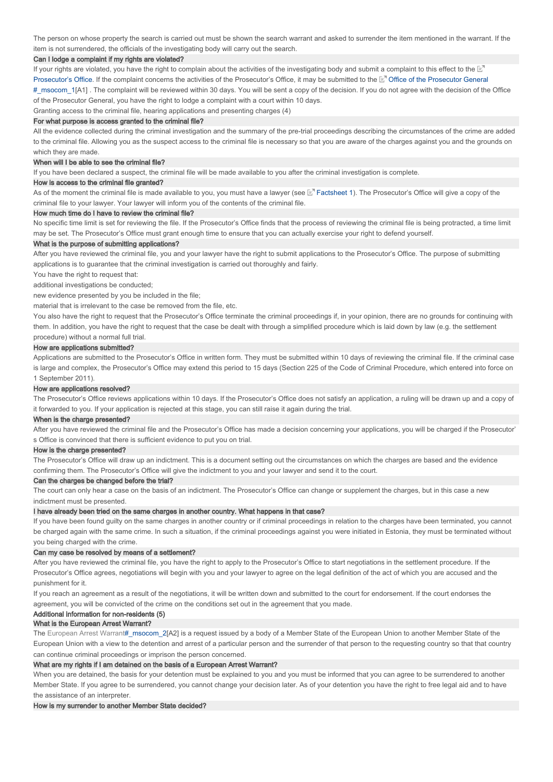The person on whose property the search is carried out must be shown the search warrant and asked to surrender the item mentioned in the warrant. If the item is not surrendered, the officials of the investigating body will carry out the search.

### Can I lodge a complaint if my rights are violated?

If your rights are violated, you have the right to complain about the activities of the investigating body and submit a complaint to this effect to the  $\mathbb E^7$ Prosecutor's Office. If the complaint concerns the activities of the Prosecutor's Office, it may be submitted to the Le<sup>r</sup> Office of the Prosecutor General #\_msocom\_1[A1] . The complaint will be reviewed within 30 days. You will be sent a copy of the decision. If you do not agree with the decision of the Office of the Prosecutor General, you have the right to lodge a complaint with a court within 10 days.

Granting access to the criminal file, hearing applications and presenting charges (4)

# For what purpose is access granted to the criminal file?

All the evidence collected during the criminal investigation and the summary of the pre-trial proceedings describing the circumstances of the crime are added to the criminal file. Allowing you as the suspect access to the criminal file is necessary so that you are aware of the charges against you and the grounds on which they are made.

#### When will I be able to see the criminal file?

If you have been declared a suspect, the criminal file will be made available to you after the criminal investigation is complete.

### How is access to the criminal file granted?

As of the moment the criminal file is made available to you, you must have a lawyer (see M Factsheet 1). The Prosecutor's Office will give a copy of the criminal file to your lawyer. Your lawyer will inform you of the contents of the criminal file.

#### How much time do I have to review the criminal file?

No specific time limit is set for reviewing the file. If the Prosecutor's Office finds that the process of reviewing the criminal file is being protracted, a time limit may be set. The Prosecutor's Office must grant enough time to ensure that you can actually exercise your right to defend yourself.

#### What is the purpose of submitting applications?

After you have reviewed the criminal file, you and your lawyer have the right to submit applications to the Prosecutor's Office. The purpose of submitting applications is to guarantee that the criminal investigation is carried out thoroughly and fairly.

You have the right to request that:

additional investigations be conducted;

new evidence presented by you be included in the file;

material that is irrelevant to the case be removed from the file, etc.

You also have the right to request that the Prosecutor's Office terminate the criminal proceedings if, in your opinion, there are no grounds for continuing with them. In addition, you have the right to request that the case be dealt with through a simplified procedure which is laid down by law (e.g. the settlement procedure) without a normal full trial.

### How are applications submitted?

Applications are submitted to the Prosecutor's Office in written form. They must be submitted within 10 days of reviewing the criminal file. If the criminal case is large and complex, the Prosecutor's Office may extend this period to 15 days (Section 225 of the Code of Criminal Procedure, which entered into force on 1 September 2011).

### How are applications resolved?

The Prosecutor's Office reviews applications within 10 days. If the Prosecutor's Office does not satisfy an application, a ruling will be drawn up and a copy of it forwarded to you. If your application is rejected at this stage, you can still raise it again during the trial.

#### When is the charge presented?

After you have reviewed the criminal file and the Prosecutor's Office has made a decision concerning your applications, you will be charged if the Prosecutor' s Office is convinced that there is sufficient evidence to put you on trial.

#### How is the charge presented?

The Prosecutor's Office will draw up an indictment. This is a document setting out the circumstances on which the charges are based and the evidence confirming them. The Prosecutor's Office will give the indictment to you and your lawyer and send it to the court.

### Can the charges be changed before the trial?

The court can only hear a case on the basis of an indictment. The Prosecutor's Office can change or supplement the charges, but in this case a new indictment must be presented.

#### I have already been tried on the same charges in another country. What happens in that case?

If you have been found guilty on the same charges in another country or if criminal proceedings in relation to the charges have been terminated, you cannot be charged again with the same crime. In such a situation, if the criminal proceedings against you were initiated in Estonia, they must be terminated without you being charged with the crime.

### Can my case be resolved by means of a settlement?

After you have reviewed the criminal file, you have the right to apply to the Prosecutor's Office to start negotiations in the settlement procedure. If the Prosecutor's Office agrees, negotiations will begin with you and your lawyer to agree on the legal definition of the act of which you are accused and the punishment for it.

If you reach an agreement as a result of the negotiations, it will be written down and submitted to the court for endorsement. If the court endorses the agreement, you will be convicted of the crime on the conditions set out in the agreement that you made.

# Additional information for non-residents (5)

# What is the European Arrest Warrant?

The European Arrest Warrant#\_msocom\_2[A2] is a request issued by a body of a Member State of the European Union to another Member State of the European Union with a view to the detention and arrest of a particular person and the surrender of that person to the requesting country so that that country can continue criminal proceedings or imprison the person concerned.

#### What are my rights if I am detained on the basis of a European Arrest Warrant?

When you are detained, the basis for your detention must be explained to you and you must be informed that you can agree to be surrendered to another Member State. If you agree to be surrendered, you cannot change your decision later. As of your detention you have the right to free legal aid and to have the assistance of an interpreter.

#### How is my surrender to another Member State decided?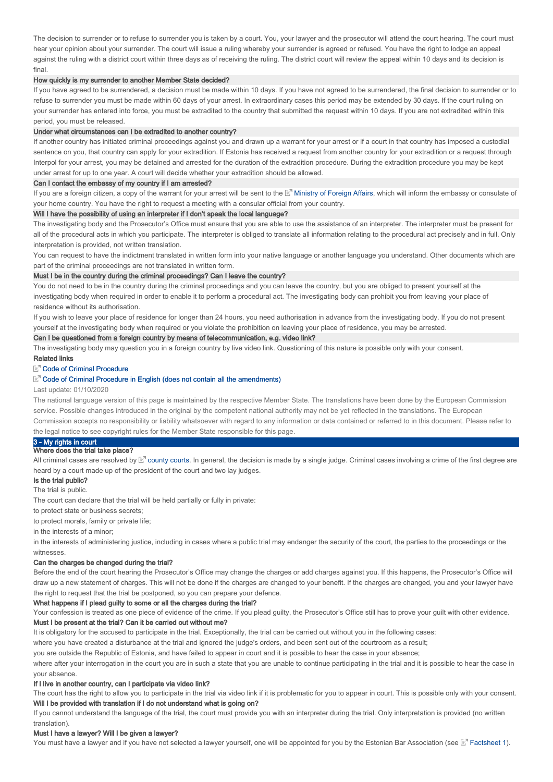The decision to surrender or to refuse to surrender you is taken by a court. You, your lawyer and the prosecutor will attend the court hearing. The court must hear your opinion about your surrender. The court will issue a ruling whereby your surrender is agreed or refused. You have the right to lodge an appeal against the ruling with a district court within three days as of receiving the ruling. The district court will review the appeal within 10 days and its decision is final.

### How quickly is my surrender to another Member State decided?

If you have agreed to be surrendered, a decision must be made within 10 days. If you have not agreed to be surrendered, the final decision to surrender or to refuse to surrender you must be made within 60 days of your arrest. In extraordinary cases this period may be extended by 30 days. If the court ruling on your surrender has entered into force, you must be extradited to the country that submitted the request within 10 days. If you are not extradited within this period, you must be released.

### Under what circumstances can I be extradited to another country?

If another country has initiated criminal proceedings against you and drawn up a warrant for your arrest or if a court in that country has imposed a custodial sentence on you, that country can apply for your extradition. If Estonia has received a request from another country for your extradition or a request through Interpol for your arrest, you may be detained and arrested for the duration of the extradition procedure. During the extradition procedure you may be kept under arrest for up to one year. A court will decide whether your extradition should be allowed.

# Can I contact the embassy of my country if I am arrested?

If you are a foreign citizen, a copy of the warrant for your arrest will be sent to the  $\mathbb{E}^n$  Ministry of Foreign Affairs, which will inform the embassy or consulate of your home country. You have the right to request a meeting with a consular official from your country.

### Will I have the possibility of using an interpreter if I don't speak the local language?

The investigating body and the Prosecutor's Office must ensure that you are able to use the assistance of an interpreter. The interpreter must be present for all of the procedural acts in which you participate. The interpreter is obliged to translate all information relating to the procedural act precisely and in full. Only interpretation is provided, not written translation.

You can request to have the indictment translated in written form into your native language or another language you understand. Other documents which are part of the criminal proceedings are not translated in written form.

#### Must I be in the country during the criminal proceedings? Can I leave the country?

You do not need to be in the country during the criminal proceedings and you can leave the country, but you are obliged to present yourself at the investigating body when required in order to enable it to perform a procedural act. The investigating body can prohibit you from leaving your place of residence without its authorisation.

If you wish to leave your place of residence for longer than 24 hours, you need authorisation in advance from the investigating body. If you do not present yourself at the investigating body when required or you violate the prohibition on leaving your place of residence, you may be arrested.

#### Can I be questioned from a foreign country by means of telecommunication, e.g. video link?

The investigating body may question you in a foreign country by live video link. Questioning of this nature is possible only with your consent.

#### Related links

### Code of Criminal Procedure

# E<sup>7</sup> Code of Criminal Procedure in English (does not contain all the amendments)

Last update: 01/10/2020

The national language version of this page is maintained by the respective Member State. The translations have been done by the European Commission service. Possible changes introduced in the original by the competent national authority may not be yet reflected in the translations. The European Commission accepts no responsibility or liability whatsoever with regard to any information or data contained or referred to in this document. Please refer to the legal notice to see copyright rules for the Member State responsible for this page.

# 3 - My rights in court

# Where does the trial take place?

All criminal cases are resolved by ⊠" county courts. In general, the decision is made by a single judge. Criminal cases involving a crime of the first degree are heard by a court made up of the president of the court and two lay judges.

### Is the trial public?

The trial is public.

The court can declare that the trial will be held partially or fully in private:

to protect state or business secrets;

to protect morals, family or private life;

# in the interests of a minor;

in the interests of administering justice, including in cases where a public trial may endanger the security of the court, the parties to the proceedings or the witnesses.

### Can the charges be changed during the trial?

Before the end of the court hearing the Prosecutor's Office may change the charges or add charges against you. If this happens, the Prosecutor's Office will draw up a new statement of charges. This will not be done if the charges are changed to your benefit. If the charges are changed, you and your lawyer have the right to request that the trial be postponed, so you can prepare your defence.

#### What happens if I plead quilty to some or all the charges during the trial?

Your confession is treated as one piece of evidence of the crime. If you plead guilty, the Prosecutor's Office still has to prove your guilt with other evidence.

# Must I be present at the trial? Can it be carried out without me?

It is obligatory for the accused to participate in the trial. Exceptionally, the trial can be carried out without you in the following cases:

where you have created a disturbance at the trial and ignored the judge's orders, and been sent out of the courtroom as a result;

you are outside the Republic of Estonia, and have failed to appear in court and it is possible to hear the case in your absence;

where after your interrogation in the court you are in such a state that you are unable to continue participating in the trial and it is possible to hear the case in your absence.

#### If I live in another country, can I participate via video link?

The court has the right to allow you to participate in the trial via video link if it is problematic for you to appear in court. This is possible only with your consent. Will I be provided with translation if I do not understand what is going on?

If you cannot understand the language of the trial, the court must provide you with an interpreter during the trial. Only interpretation is provided (no written translation).

#### Must I have a lawyer? Will I be given a lawyer?

You must have a lawyer and if you have not selected a lawyer yourself, one will be appointed for you by the Estonian Bar Association (see  $\mathbb{E}$ " Factsheet 1).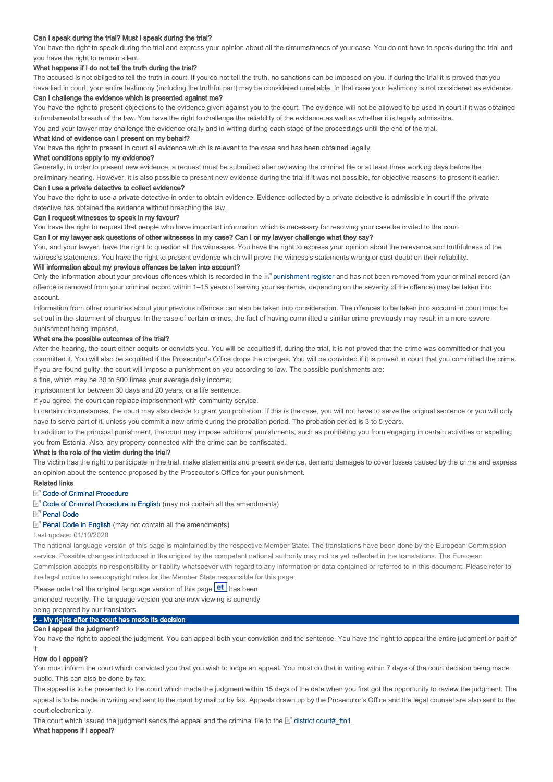## Can I speak during the trial? Must I speak during the trial?

You have the right to speak during the trial and express your opinion about all the circumstances of your case. You do not have to speak during the trial and you have the right to remain silent.

# What happens if I do not tell the truth during the trial?

The accused is not obliged to tell the truth in court. If you do not tell the truth, no sanctions can be imposed on you. If during the trial it is proved that you have lied in court, your entire testimony (including the truthful part) may be considered unreliable. In that case your testimony is not considered as evidence.

## Can I challenge the evidence which is presented against me?

You have the right to present objections to the evidence given against you to the court. The evidence will not be allowed to be used in court if it was obtained in fundamental breach of the law. You have the right to challenge the reliability of the evidence as well as whether it is legally admissible.

You and your lawyer may challenge the evidence orally and in writing during each stage of the proceedings until the end of the trial.

# What kind of evidence can I present on my behalf?

You have the right to present in court all evidence which is relevant to the case and has been obtained legally.

# What conditions apply to my evidence?

Generally, in order to present new evidence, a request must be submitted after reviewing the criminal file or at least three working days before the preliminary hearing. However, it is also possible to present new evidence during the trial if it was not possible, for objective reasons, to present it earlier.

### Can I use a private detective to collect evidence?

You have the right to use a private detective in order to obtain evidence. Evidence collected by a private detective is admissible in court if the private detective has obtained the evidence without breaching the law.

### Can I request witnesses to speak in my favour?

You have the right to request that people who have important information which is necessary for resolving your case be invited to the court.

Can I or my lawyer ask questions of other witnesses in my case? Can I or my lawyer challenge what they say? You, and your lawyer, have the right to question all the witnesses. You have the right to express your opinion about the relevance and truthfulness of the

witness's statements. You have the right to present evidence which will prove the witness's statements wrong or cast doubt on their reliability. Will information about my previous offences be taken into account?

Only the information about your previous offences which is recorded in the M punishment register and has not been removed from your criminal record (an offence is removed from your criminal record within 1–15 years of serving your sentence, depending on the severity of the offence) may be taken into account.

Information from other countries about your previous offences can also be taken into consideration. The offences to be taken into account in court must be set out in the statement of charges. In the case of certain crimes, the fact of having committed a similar crime previously may result in a more severe punishment being imposed.

# What are the possible outcomes of the trial?

After the hearing, the court either acquits or convicts you. You will be acquitted if, during the trial, it is not proved that the crime was committed or that you committed it. You will also be acquitted if the Prosecutor's Office drops the charges. You will be convicted if it is proved in court that you committed the crime. If you are found guilty, the court will impose a punishment on you according to law. The possible punishments are:

a fine, which may be 30 to 500 times your average daily income;

imprisonment for between 30 days and 20 years, or a life sentence.

If you agree, the court can replace imprisonment with community service.

In certain circumstances, the court may also decide to grant you probation. If this is the case, you will not have to serve the original sentence or you will only have to serve part of it, unless you commit a new crime during the probation period. The probation period is 3 to 5 years.

In addition to the principal punishment, the court may impose additional punishments, such as prohibiting you from engaging in certain activities or expelling you from Estonia. Also, any property connected with the crime can be confiscated.

#### What is the role of the victim during the trial?

The victim has the right to participate in the trial, make statements and present evidence, demand damages to cover losses caused by the crime and express an opinion about the sentence proposed by the Prosecutor's Office for your punishment.

## Related links

# E<sup>7</sup> Code of Criminal Procedure

Code of Criminal Procedure in English (may not contain all the amendments)

## **E**<sup>n</sup> Penal Code

#### Penal Code in English (may not contain all the amendments)

Last update: 01/10/2020

The national language version of this page is maintained by the respective Member State. The translations have been done by the European Commission service. Possible changes introduced in the original by the competent national authority may not be yet reflected in the translations. The European Commission accepts no responsibility or liability whatsoever with regard to any information or data contained or referred to in this document. Please refer to the legal notice to see copyright rules for the Member State responsible for this page.

Please note that the original language version of this page  $\text{et}$  has been

amended recently. The language version you are now viewing is currently

being prepared by our translators.

## 4 - My rights after the court has made its decision

# Can I appeal the judgment?

You have the right to appeal the judgment. You can appeal both your conviction and the sentence. You have the right to appeal the entire judgment or part of it.

## How do I appeal?

You must inform the court which convicted you that you wish to lodge an appeal. You must do that in writing within 7 days of the court decision being made public. This can also be done by fax.

The appeal is to be presented to the court which made the judgment within 15 days of the date when you first got the opportunity to review the judgment. The appeal is to be made in writing and sent to the court by mail or by fax. Appeals drawn up by the Prosecutor's Office and the legal counsel are also sent to the court electronically.

The court which issued the judgment sends the appeal and the criminal file to the  $\mathbb{E}^n$  district court#\_ftn1.

# What happens if I appeal?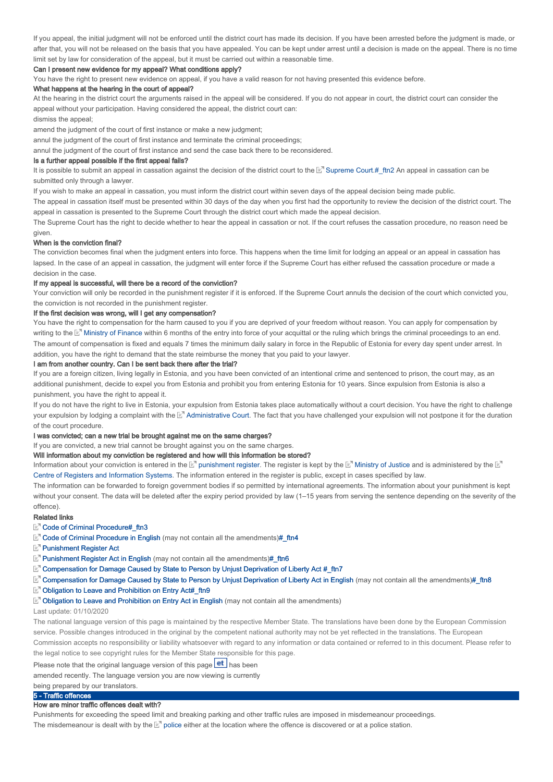If you appeal, the initial judgment will not be enforced until the district court has made its decision. If you have been arrested before the judgment is made, or after that, you will not be released on the basis that you have appealed. You can be kept under arrest until a decision is made on the appeal. There is no time limit set by law for consideration of the appeal, but it must be carried out within a reasonable time.

### Can I present new evidence for my appeal? What conditions apply?

You have the right to present new evidence on appeal, if you have a valid reason for not having presented this evidence before.

#### What happens at the hearing in the court of appeal?

At the hearing in the district court the arguments raised in the appeal will be considered. If you do not appear in court, the district court can consider the appeal without your participation. Having considered the appeal, the district court can:

dismiss the appeal;

amend the judgment of the court of first instance or make a new judgment;

annul the judgment of the court of first instance and terminate the criminal proceedings;

annul the judgment of the court of first instance and send the case back there to be reconsidered.

### Is a further appeal possible if the first appeal fails?

It is possible to submit an appeal in cassation against the decision of the district court to the  $\mathbb{E}^n$  Supreme Court.#\_ftn2 An appeal in cassation can be submitted only through a lawyer

If you wish to make an appeal in cassation, you must inform the district court within seven days of the appeal decision being made public.

The appeal in cassation itself must be presented within 30 days of the day when you first had the opportunity to review the decision of the district court. The appeal in cassation is presented to the Supreme Court through the district court which made the appeal decision.

The Supreme Court has the right to decide whether to hear the appeal in cassation or not. If the court refuses the cassation procedure, no reason need be given

### When is the conviction final?

The conviction becomes final when the judgment enters into force. This happens when the time limit for lodging an appeal or an appeal in cassation has lapsed. In the case of an appeal in cassation, the judgment will enter force if the Supreme Court has either refused the cassation procedure or made a decision in the case.

### If my appeal is successful, will there be a record of the conviction?

Your conviction will only be recorded in the punishment register if it is enforced. If the Supreme Court annuls the decision of the court which convicted you, the conviction is not recorded in the punishment register.

### If the first decision was wrong, will I get any compensation?

You have the right to compensation for the harm caused to you if you are deprived of your freedom without reason. You can apply for compensation by writing to the L<sup>am</sup> Ministry of Finance within 6 months of the entry into force of your acquittal or the ruling which brings the criminal proceedings to an end. The amount of compensation is fixed and equals 7 times the minimum daily salary in force in the Republic of Estonia for every day spent under arrest. In addition, you have the right to demand that the state reimburse the money that you paid to your lawyer.

#### I am from another country. Can I be sent back there after the trial?

If you are a foreign citizen, living legally in Estonia, and you have been convicted of an intentional crime and sentenced to prison, the court may, as an additional punishment, decide to expel you from Estonia and prohibit you from entering Estonia for 10 years. Since expulsion from Estonia is also a punishment, you have the right to appeal it.

If you do not have the right to live in Estonia, your expulsion from Estonia takes place automatically without a court decision. You have the right to challenge your expulsion by lodging a complaint with the E" Administrative Court. The fact that you have challenged your expulsion will not postpone it for the duration of the court procedure.

### I was convicted; can a new trial be brought against me on the same charges?

If you are convicted, a new trial cannot be brought against you on the same charges.

### Will information about my conviction be registered and how will this information be stored?

Information about your conviction is entered in the  $\mathbb{E}^n$  punishment register. The register is kept by the  $\mathbb{E}^n$  Ministry of Justice and is administered by the Centre of Registers and Information Systems. The information entered in the register is public, except in cases specified by law.

The information can be forwarded to foreign government bodies if so permitted by international agreements. The information about your punishment is kept without your consent. The data will be deleted after the expiry period provided by law (1–15 years from serving the sentence depending on the severity of the offence).

#### Related links

# Code of Criminal Procedure#\_ftn3

- E<sup>T</sup> Code of Criminal Procedure in English (may not contain all the amendments)# ftn4
- **Punishment Register Act**
- **E**<sup>n</sup> Punishment Register Act in English (may not contain all the amendments)# ftn6

E<sup>7</sup> Compensation for Damage Caused by State to Person by Unjust Deprivation of Liberty Act #\_ftn7

- Compensation for Damage Caused by State to Person by Unjust Deprivation of Liberty Act in English (may not contain all the amendments)#\_ftn8 in English (may not contain all the amendments)#\_ftn4<br>
English (may not contain all the amendments)#\_ftn6<br>
Caused by State to Person by Unjust Deprivation of Liberty Act #\_ftn7<br>
Caused by State to Person by Unjust Depriva
- Obligation to Leave and Prohibition on Entry Act#\_ftn9

#### $E<sup>7</sup>$  Obligation to Leave and Prohibition on Entry Act in English (may not contain all the amendments)

#### Last update: 01/10/2020

The national language version of this page is maintained by the respective Member State. The translations have been done by the European Commission service. Possible changes introduced in the original by the competent national authority may not be yet reflected in the translations. The European Commission accepts no responsibility or liability whatsoever with regard to any information or data contained or referred to in this document. Please refer to the legal notice to see copyright rules for the Member State responsible for this page.

# Please note that the original language version of this page  $\text{et}$  has been

amended recently. The language version you are now viewing is currently

# being prepared by our translators.

# 5 - Traffic offences

# How are minor traffic offences dealt with?

Punishments for exceeding the speed limit and breaking parking and other traffic rules are imposed in misdemeanour proceedings.

The misdemeanour is dealt with by the  $\mathbb{E}^n$  police either at the location where the offence is discovered or at a police station.